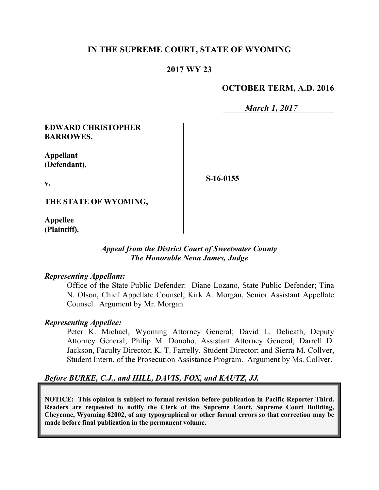# **IN THE SUPREME COURT, STATE OF WYOMING**

# **2017 WY 23**

# **OCTOBER TERM, A.D. 2016**

*March 1, 2017*

### **EDWARD CHRISTOPHER BARROWES,**

**Appellant (Defendant),**

**v.**

**S-16-0155**

**THE STATE OF WYOMING,**

**Appellee (Plaintiff).**

### *Appeal from the District Court of Sweetwater County The Honorable Nena James, Judge*

### *Representing Appellant:*

Office of the State Public Defender: Diane Lozano, State Public Defender; Tina N. Olson, Chief Appellate Counsel; Kirk A. Morgan, Senior Assistant Appellate Counsel. Argument by Mr. Morgan.

### *Representing Appellee:*

Peter K. Michael, Wyoming Attorney General; David L. Delicath, Deputy Attorney General; Philip M. Donoho, Assistant Attorney General; Darrell D. Jackson, Faculty Director; K. T. Farrelly, Student Director; and Sierra M. Collver, Student Intern, of the Prosecution Assistance Program. Argument by Ms. Collver.

### *Before BURKE, C.J., and HILL, DAVIS, FOX, and KAUTZ, JJ.*

**NOTICE: This opinion is subject to formal revision before publication in Pacific Reporter Third. Readers are requested to notify the Clerk of the Supreme Court, Supreme Court Building, Cheyenne, Wyoming 82002, of any typographical or other formal errors so that correction may be made before final publication in the permanent volume.**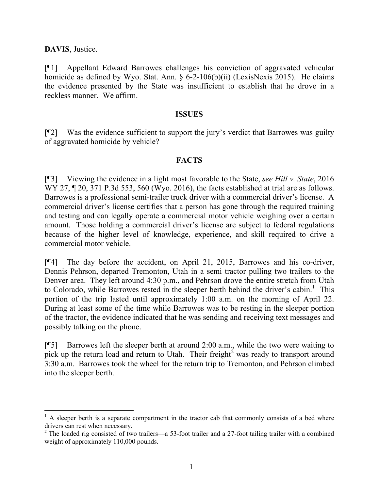**DAVIS**, Justice.

l

[¶1] Appellant Edward Barrowes challenges his conviction of aggravated vehicular homicide as defined by Wyo. Stat. Ann. § 6-2-106(b)(ii) (LexisNexis 2015). He claims the evidence presented by the State was insufficient to establish that he drove in a reckless manner. We affirm.

#### **ISSUES**

[¶2] Was the evidence sufficient to support the jury's verdict that Barrowes was guilty of aggravated homicide by vehicle?

### **FACTS**

[¶3] Viewing the evidence in a light most favorable to the State, *see Hill v. State*, 2016 WY 27, 1 20, 371 P.3d 553, 560 (Wyo. 2016), the facts established at trial are as follows. Barrowes is a professional semi-trailer truck driver with a commercial driver's license. A commercial driver's license certifies that a person has gone through the required training and testing and can legally operate a commercial motor vehicle weighing over a certain amount. Those holding a commercial driver's license are subject to federal regulations because of the higher level of knowledge, experience, and skill required to drive a commercial motor vehicle.

[¶4] The day before the accident, on April 21, 2015, Barrowes and his co-driver, Dennis Pehrson, departed Tremonton, Utah in a semi tractor pulling two trailers to the Denver area. They left around 4:30 p.m., and Pehrson drove the entire stretch from Utah to Colorado, while Barrowes rested in the sleeper berth behind the driver's cabin.<sup>1</sup> This portion of the trip lasted until approximately 1:00 a.m. on the morning of April 22. During at least some of the time while Barrowes was to be resting in the sleeper portion of the tractor, the evidence indicated that he was sending and receiving text messages and possibly talking on the phone.

[¶5] Barrowes left the sleeper berth at around 2:00 a.m., while the two were waiting to pick up the return load and return to Utah. Their freight<sup>2</sup> was ready to transport around 3:30 a.m. Barrowes took the wheel for the return trip to Tremonton, and Pehrson climbed into the sleeper berth.

 $<sup>1</sup>$  A sleeper berth is a separate compartment in the tractor cab that commonly consists of a bed where</sup> drivers can rest when necessary.

 $2$  The loaded rig consisted of two trailers—a 53-foot trailer and a 27-foot tailing trailer with a combined weight of approximately 110,000 pounds.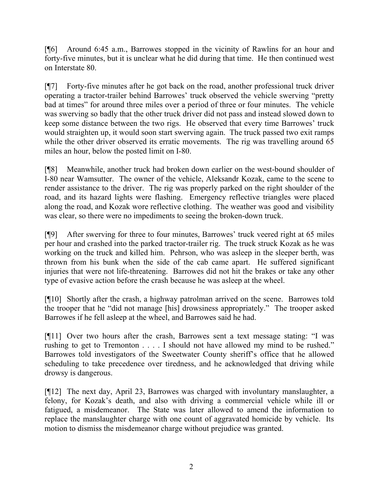[¶6] Around 6:45 a.m., Barrowes stopped in the vicinity of Rawlins for an hour and forty-five minutes, but it is unclear what he did during that time. He then continued west on Interstate 80.

[¶7] Forty-five minutes after he got back on the road, another professional truck driver operating a tractor-trailer behind Barrowes' truck observed the vehicle swerving "pretty bad at times" for around three miles over a period of three or four minutes. The vehicle was swerving so badly that the other truck driver did not pass and instead slowed down to keep some distance between the two rigs. He observed that every time Barrowes' truck would straighten up, it would soon start swerving again. The truck passed two exit ramps while the other driver observed its erratic movements. The rig was travelling around 65 miles an hour, below the posted limit on I-80.

[¶8] Meanwhile, another truck had broken down earlier on the west-bound shoulder of I-80 near Wamsutter. The owner of the vehicle, Aleksandr Kozak, came to the scene to render assistance to the driver. The rig was properly parked on the right shoulder of the road, and its hazard lights were flashing. Emergency reflective triangles were placed along the road, and Kozak wore reflective clothing. The weather was good and visibility was clear, so there were no impediments to seeing the broken-down truck.

[¶9] After swerving for three to four minutes, Barrowes' truck veered right at 65 miles per hour and crashed into the parked tractor-trailer rig. The truck struck Kozak as he was working on the truck and killed him. Pehrson, who was asleep in the sleeper berth, was thrown from his bunk when the side of the cab came apart. He suffered significant injuries that were not life-threatening. Barrowes did not hit the brakes or take any other type of evasive action before the crash because he was asleep at the wheel.

[¶10] Shortly after the crash, a highway patrolman arrived on the scene. Barrowes told the trooper that he "did not manage [his] drowsiness appropriately." The trooper asked Barrowes if he fell asleep at the wheel, and Barrowes said he had.

[¶11] Over two hours after the crash, Barrowes sent a text message stating: "I was rushing to get to Tremonton . . . . I should not have allowed my mind to be rushed." Barrowes told investigators of the Sweetwater County sheriff's office that he allowed scheduling to take precedence over tiredness, and he acknowledged that driving while drowsy is dangerous.

[¶12] The next day, April 23, Barrowes was charged with involuntary manslaughter, a felony, for Kozak's death, and also with driving a commercial vehicle while ill or fatigued, a misdemeanor. The State was later allowed to amend the information to replace the manslaughter charge with one count of aggravated homicide by vehicle. Its motion to dismiss the misdemeanor charge without prejudice was granted.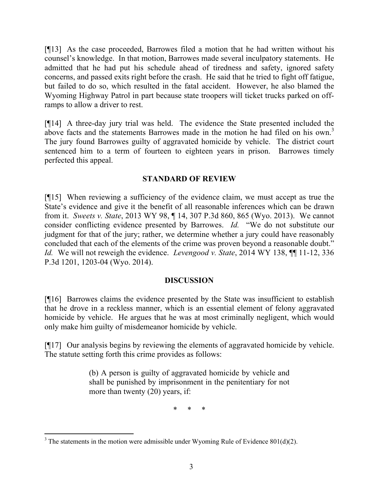[¶13] As the case proceeded, Barrowes filed a motion that he had written without his counsel's knowledge. In that motion, Barrowes made several inculpatory statements. He admitted that he had put his schedule ahead of tiredness and safety, ignored safety concerns, and passed exits right before the crash. He said that he tried to fight off fatigue, but failed to do so, which resulted in the fatal accident. However, he also blamed the Wyoming Highway Patrol in part because state troopers will ticket trucks parked on offramps to allow a driver to rest.

[¶14] A three-day jury trial was held. The evidence the State presented included the above facts and the statements Barrowes made in the motion he had filed on his own.<sup>3</sup> The jury found Barrowes guilty of aggravated homicide by vehicle. The district court sentenced him to a term of fourteen to eighteen years in prison. Barrowes timely perfected this appeal.

### **STANDARD OF REVIEW**

[¶15] When reviewing a sufficiency of the evidence claim, we must accept as true the State's evidence and give it the benefit of all reasonable inferences which can be drawn from it. *Sweets v. State*, 2013 WY 98, ¶ 14, 307 P.3d 860, 865 (Wyo. 2013). We cannot consider conflicting evidence presented by Barrowes. *Id.* "We do not substitute our judgment for that of the jury; rather, we determine whether a jury could have reasonably concluded that each of the elements of the crime was proven beyond a reasonable doubt." *Id.* We will not reweigh the evidence. *Levengood v. State*, 2014 WY 138, ¶¶ 11-12, 336 P.3d 1201, 1203-04 (Wyo. 2014).

### **DISCUSSION**

[¶16] Barrowes claims the evidence presented by the State was insufficient to establish that he drove in a reckless manner, which is an essential element of felony aggravated homicide by vehicle. He argues that he was at most criminally negligent, which would only make him guilty of misdemeanor homicide by vehicle.

[¶17] Our analysis begins by reviewing the elements of aggravated homicide by vehicle. The statute setting forth this crime provides as follows:

> (b) A person is guilty of aggravated homicide by vehicle and shall be punished by imprisonment in the penitentiary for not more than twenty (20) years, if:

> > \* \* \*

l  $3$  The statements in the motion were admissible under Wyoming Rule of Evidence 801(d)(2).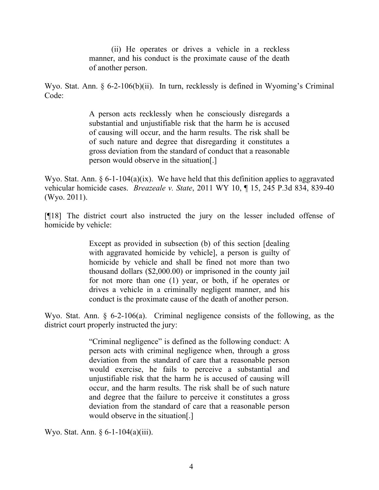(ii) He operates or drives a vehicle in a reckless manner, and his conduct is the proximate cause of the death of another person.

Wyo. Stat. Ann. § 6-2-106(b)(ii). In turn, recklessly is defined in Wyoming's Criminal Code:

> A person acts recklessly when he consciously disregards a substantial and unjustifiable risk that the harm he is accused of causing will occur, and the harm results. The risk shall be of such nature and degree that disregarding it constitutes a gross deviation from the standard of conduct that a reasonable person would observe in the situation[.]

Wyo. Stat. Ann.  $\S 6$ -1-104(a)(ix). We have held that this definition applies to aggravated vehicular homicide cases. *Breazeale v. State*, 2011 WY 10, ¶ 15, 245 P.3d 834, 839-40 (Wyo. 2011).

[¶18] The district court also instructed the jury on the lesser included offense of homicide by vehicle:

> Except as provided in subsection (b) of this section [dealing with aggravated homicide by vehicle], a person is guilty of homicide by vehicle and shall be fined not more than two thousand dollars (\$2,000.00) or imprisoned in the county jail for not more than one (1) year, or both, if he operates or drives a vehicle in a criminally negligent manner, and his conduct is the proximate cause of the death of another person.

Wyo. Stat. Ann. § 6-2-106(a). Criminal negligence consists of the following, as the district court properly instructed the jury:

> "Criminal negligence" is defined as the following conduct: A person acts with criminal negligence when, through a gross deviation from the standard of care that a reasonable person would exercise, he fails to perceive a substantial and unjustifiable risk that the harm he is accused of causing will occur, and the harm results. The risk shall be of such nature and degree that the failure to perceive it constitutes a gross deviation from the standard of care that a reasonable person would observe in the situation[.]

Wyo. Stat. Ann. § 6-1-104(a)(iii).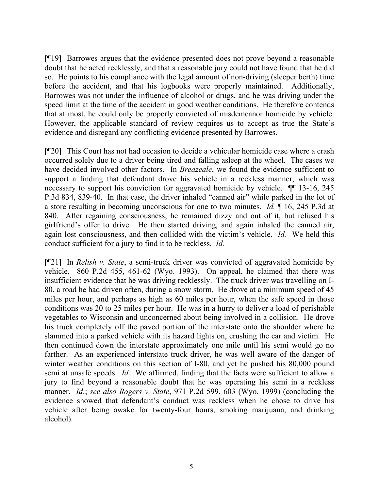[¶19] Barrowes argues that the evidence presented does not prove beyond a reasonable doubt that he acted recklessly, and that a reasonable jury could not have found that he did so. He points to his compliance with the legal amount of non-driving (sleeper berth) time before the accident, and that his logbooks were properly maintained. Additionally, Barrowes was not under the influence of alcohol or drugs, and he was driving under the speed limit at the time of the accident in good weather conditions. He therefore contends that at most, he could only be properly convicted of misdemeanor homicide by vehicle. However, the applicable standard of review requires us to accept as true the State's evidence and disregard any conflicting evidence presented by Barrowes.

[¶20] This Court has not had occasion to decide a vehicular homicide case where a crash occurred solely due to a driver being tired and falling asleep at the wheel. The cases we have decided involved other factors. In *Breazeale*, we found the evidence sufficient to support a finding that defendant drove his vehicle in a reckless manner, which was necessary to support his conviction for aggravated homicide by vehicle. ¶¶ 13-16, 245 P.3d 834, 839-40. In that case, the driver inhaled "canned air" while parked in the lot of a store resulting in becoming unconscious for one to two minutes. *Id.* ¶ 16, 245 P.3d at 840. After regaining consciousness, he remained dizzy and out of it, but refused his girlfriend's offer to drive. He then started driving, and again inhaled the canned air, again lost consciousness, and then collided with the victim's vehicle. *Id.* We held this conduct sufficient for a jury to find it to be reckless. *Id.*

[¶21] In *Relish v. State*, a semi-truck driver was convicted of aggravated homicide by vehicle. 860 P.2d 455, 461-62 (Wyo. 1993). On appeal, he claimed that there was insufficient evidence that he was driving recklessly. The truck driver was travelling on I-80, a road he had driven often, during a snow storm. He drove at a minimum speed of 45 miles per hour, and perhaps as high as 60 miles per hour, when the safe speed in those conditions was 20 to 25 miles per hour. He was in a hurry to deliver a load of perishable vegetables to Wisconsin and unconcerned about being involved in a collision. He drove his truck completely off the paved portion of the interstate onto the shoulder where he slammed into a parked vehicle with its hazard lights on, crushing the car and victim. He then continued down the interstate approximately one mile until his semi would go no farther. As an experienced interstate truck driver, he was well aware of the danger of winter weather conditions on this section of I-80, and yet he pushed his 80,000 pound semi at unsafe speeds. *Id.* We affirmed, finding that the facts were sufficient to allow a jury to find beyond a reasonable doubt that he was operating his semi in a reckless manner. *Id*.; *see also Rogers v. State*, 971 P.2d 599, 603 (Wyo. 1999) (concluding the evidence showed that defendant's conduct was reckless when he chose to drive his vehicle after being awake for twenty-four hours, smoking marijuana, and drinking alcohol).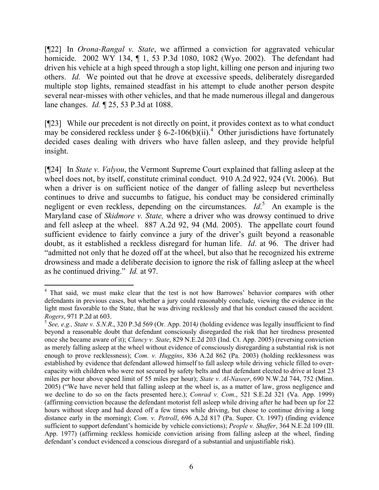[¶22] In *Orona-Rangal v. State*, we affirmed a conviction for aggravated vehicular homicide. 2002 WY 134, ¶ 1, 53 P.3d 1080, 1082 (Wyo. 2002). The defendant had driven his vehicle at a high speed through a stop light, killing one person and injuring two others. *Id.* We pointed out that he drove at excessive speeds, deliberately disregarded multiple stop lights, remained steadfast in his attempt to elude another person despite several near-misses with other vehicles, and that he made numerous illegal and dangerous lane changes. *Id.* ¶ 25, 53 P.3d at 1088.

[¶23] While our precedent is not directly on point, it provides context as to what conduct may be considered reckless under  $\S$  6-2-106(b)(ii).<sup>4</sup> Other jurisdictions have fortunately decided cases dealing with drivers who have fallen asleep, and they provide helpful insight.

[¶24] In *State v. Valyou*, the Vermont Supreme Court explained that falling asleep at the wheel does not, by itself, constitute criminal conduct. 910 A.2d 922, 924 (Vt. 2006). But when a driver is on sufficient notice of the danger of falling asleep but nevertheless continues to drive and succumbs to fatigue, his conduct may be considered criminally negligent or even reckless, depending on the circumstances. *Id*. 5 An example is the Maryland case of *Skidmore v. State,* where a driver who was drowsy continued to drive and fell asleep at the wheel. 887 A.2d 92, 94 (Md. 2005). The appellate court found sufficient evidence to fairly convince a jury of the driver's guilt beyond a reasonable doubt, as it established a reckless disregard for human life. *Id*. at 96. The driver had "admitted not only that he dozed off at the wheel, but also that he recognized his extreme drowsiness and made a deliberate decision to ignore the risk of falling asleep at the wheel as he continued driving." *Id.* at 97.

l

<sup>&</sup>lt;sup>4</sup> That said, we must make clear that the test is not how Barrowes' behavior compares with other defendants in previous cases, but whether a jury could reasonably conclude, viewing the evidence in the light most favorable to the State, that he was driving recklessly and that his conduct caused the accident*. Rogers*, 971 P.2d at 603.

<sup>5</sup> *See, e.g., State v. S.N.R*., 320 P.3d 569 (Or. App. 2014*)* (holding evidence was legally insufficient to find beyond a reasonable doubt that defendant consciously disregarded the risk that her tiredness presented once she became aware of it); *Clancy v. State*, 829 N.E.2d 203 (Ind. Ct. App. 2005) (reversing conviction as merely falling asleep at the wheel without evidence of consciously disregarding a substantial risk is not enough to prove recklessness); *Com. v. Huggins*, 836 A.2d 862 (Pa. 2003) (holding recklessness was established by evidence that defendant allowed himself to fall asleep while driving vehicle filled to overcapacity with children who were not secured by safety belts and that defendant elected to drive at least 23 miles per hour above speed limit of 55 miles per hour); *State v. Al-Naseer*, 690 N.W.2d 744, 752 (Minn. 2005) ("We have never held that falling asleep at the wheel is, as a matter of law, gross negligence and we decline to do so on the facts presented here.); *Conrad v. Com*., 521 S.E.2d 321 (Va. App. 1999) (affirming conviction because the defendant motorist fell asleep while driving after he had been up for 22 hours without sleep and had dozed off a few times while driving, but chose to continue driving a long distance early in the morning); *Com. v. Petroll*, 696 A.2d 817 (Pa. Super. Ct. 1997) (finding evidence sufficient to support defendant's homicide by vehicle convictions); *People v. Shaffer*, 364 N.E.2d 109 (Ill. App. 1977) (affirming reckless homicide conviction arising from falling asleep at the wheel, finding defendant's conduct evidenced a conscious disregard of a substantial and unjustifiable risk).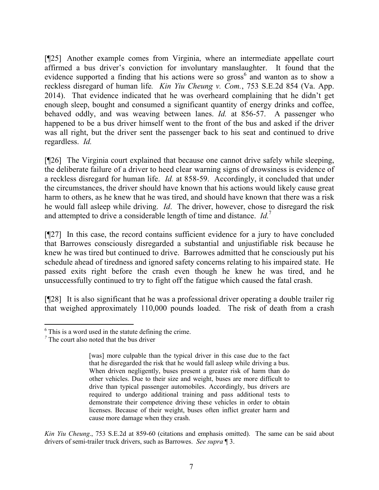[¶25] Another example comes from Virginia, where an intermediate appellate court affirmed a bus driver's conviction for involuntary manslaughter. It found that the evidence supported a finding that his actions were so  $gross<sup>6</sup>$  and wanton as to show a reckless disregard of human life*. Kin Yiu Cheung v. Com.*, 753 S.E.2d 854 (Va. App. 2014). That evidence indicated that he was overheard complaining that he didn't get enough sleep, bought and consumed a significant quantity of energy drinks and coffee, behaved oddly, and was weaving between lanes. *Id.* at 856-57. A passenger who happened to be a bus driver himself went to the front of the bus and asked if the driver was all right, but the driver sent the passenger back to his seat and continued to drive regardless. *Id.*

[¶26] The Virginia court explained that because one cannot drive safely while sleeping, the deliberate failure of a driver to heed clear warning signs of drowsiness is evidence of a reckless disregard for human life. *Id.* at 858-59. Accordingly, it concluded that under the circumstances, the driver should have known that his actions would likely cause great harm to others, as he knew that he was tired, and should have known that there was a risk he would fall asleep while driving. *Id*. The driver, however, chose to disregard the risk and attempted to drive a considerable length of time and distance. *Id.*<sup>7</sup>

[¶27] In this case, the record contains sufficient evidence for a jury to have concluded that Barrowes consciously disregarded a substantial and unjustifiable risk because he knew he was tired but continued to drive. Barrowes admitted that he consciously put his schedule ahead of tiredness and ignored safety concerns relating to his impaired state. He passed exits right before the crash even though he knew he was tired, and he unsuccessfully continued to try to fight off the fatigue which caused the fatal crash.

[¶28] It is also significant that he was a professional driver operating a double trailer rig that weighed approximately 110,000 pounds loaded. The risk of death from a crash

l

 $6$  This is a word used in the statute defining the crime.

<sup>&</sup>lt;sup>7</sup> The court also noted that the bus driver

<sup>[</sup>was] more culpable than the typical driver in this case due to the fact that he disregarded the risk that he would fall asleep while driving a bus. When driven negligently, buses present a greater risk of harm than do other vehicles. Due to their size and weight, buses are more difficult to drive than typical passenger automobiles. Accordingly, bus drivers are required to undergo additional training and pass additional tests to demonstrate their competence driving these vehicles in order to obtain licenses. Because of their weight, buses often inflict greater harm and cause more damage when they crash.

*Kin Yiu Cheung*., 753 S.E.2d at 859-60 (citations and emphasis omitted). The same can be said about drivers of semi-trailer truck drivers, such as Barrowes. *See supra* ¶ 3.